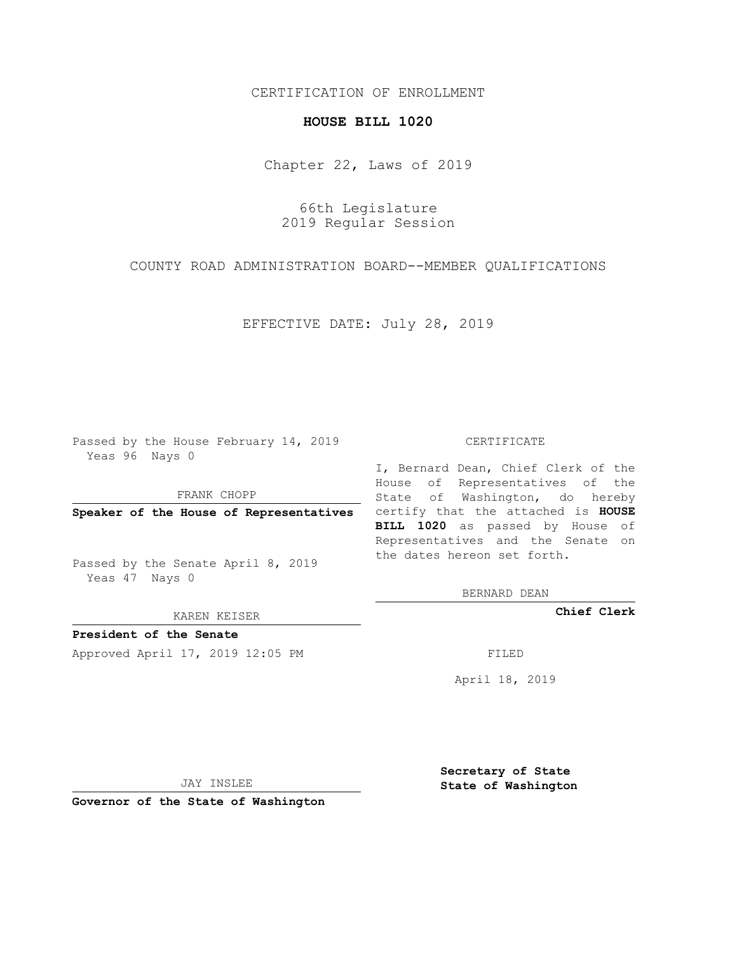## CERTIFICATION OF ENROLLMENT

## **HOUSE BILL 1020**

Chapter 22, Laws of 2019

66th Legislature 2019 Regular Session

COUNTY ROAD ADMINISTRATION BOARD--MEMBER QUALIFICATIONS

EFFECTIVE DATE: July 28, 2019

Passed by the House February 14, 2019 Yeas 96 Nays 0

FRANK CHOPP

Passed by the Senate April 8, 2019 Yeas 47 Nays 0

KAREN KEISER

**President of the Senate**

Approved April 17, 2019 12:05 PM FILED

## CERTIFICATE

**Speaker of the House of Representatives** certify that the attached is **HOUSE** I, Bernard Dean, Chief Clerk of the House of Representatives of the State of Washington, do hereby **BILL 1020** as passed by House of Representatives and the Senate on the dates hereon set forth.

BERNARD DEAN

**Chief Clerk**

April 18, 2019

JAY INSLEE

**Governor of the State of Washington**

**Secretary of State State of Washington**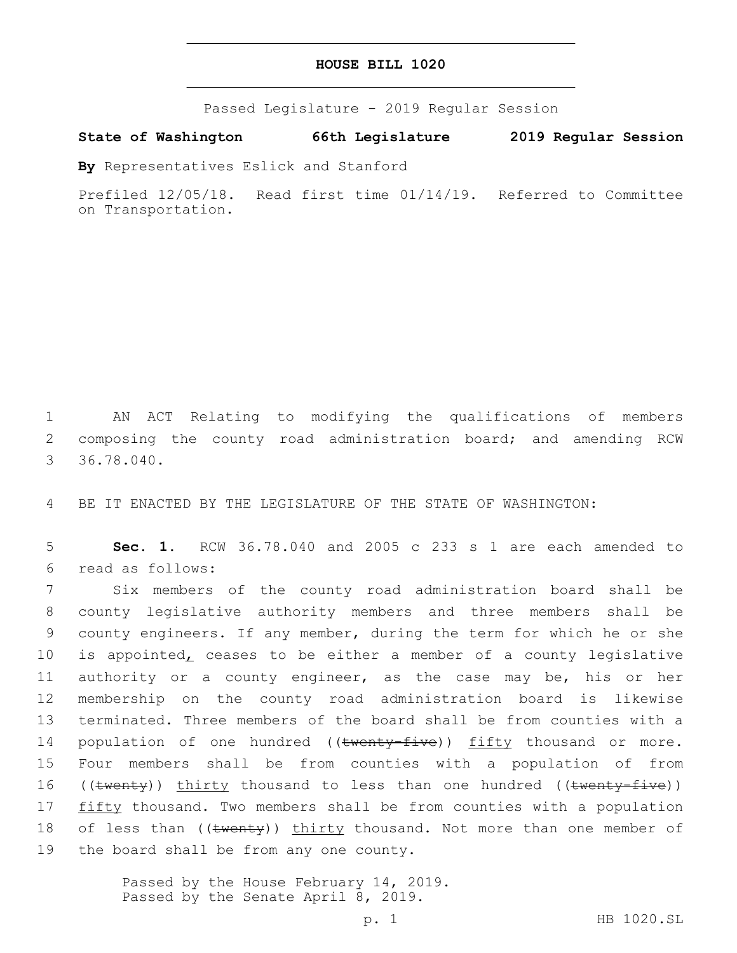| HOUSE BILL 1020 |  |  |
|-----------------|--|--|
|-----------------|--|--|

Passed Legislature - 2019 Regular Session

**State of Washington 66th Legislature 2019 Regular Session**

**By** Representatives Eslick and Stanford

Prefiled 12/05/18. Read first time 01/14/19. Referred to Committee on Transportation.

1 AN ACT Relating to modifying the qualifications of members 2 composing the county road administration board; and amending RCW 36.78.040.

4 BE IT ENACTED BY THE LEGISLATURE OF THE STATE OF WASHINGTON:

5 **Sec. 1.** RCW 36.78.040 and 2005 c 233 s 1 are each amended to read as follows:6

7 Six members of the county road administration board shall be 8 county legislative authority members and three members shall be 9 county engineers. If any member, during the term for which he or she 10 is appointed, ceases to be either a member of a county legislative 11 authority or a county engineer, as the case may be, his or her 12 membership on the county road administration board is likewise 13 terminated. Three members of the board shall be from counties with a 14 population of one hundred ((twenty-five)) fifty thousand or more. 15 Four members shall be from counties with a population of from 16 ((twenty)) thirty thousand to less than one hundred ((twenty-five)) 17 fifty thousand. Two members shall be from counties with a population 18 of less than ((twenty)) thirty thousand. Not more than one member of 19 the board shall be from any one county.

> Passed by the House February 14, 2019. Passed by the Senate April 8, 2019.